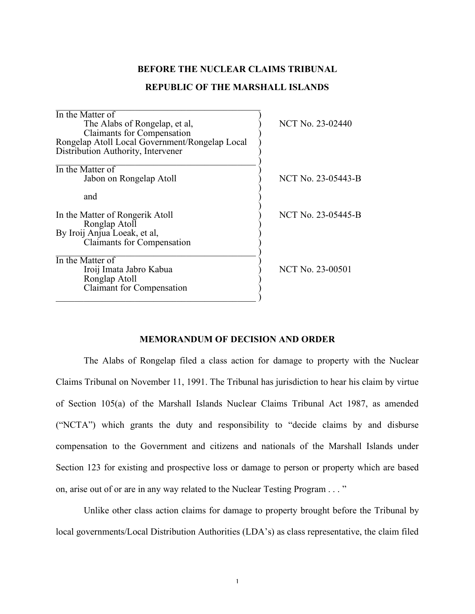### **BEFORE THE NUCLEAR CLAIMS TRIBUNAL**

## **REPUBLIC OF THE MARSHALL ISLANDS**

| In the Matter of                               |                         |
|------------------------------------------------|-------------------------|
| The Alabs of Rongelap, et al,                  | NCT No. 23-02440        |
| <b>Claimants for Compensation</b>              |                         |
| Rongelap Atoll Local Government/Rongelap Local |                         |
| Distribution Authority, Intervener             |                         |
|                                                |                         |
| In the Matter of                               |                         |
| Jabon on Rongelap Atoll                        | NCT No. 23-05443-B      |
|                                                |                         |
| and                                            |                         |
|                                                |                         |
| In the Matter of Rongerik Atoll                | NCT No. 23-05445-B      |
| Ronglap Atoll                                  |                         |
| By Iroij Anjua Loeak, et al,                   |                         |
| <b>Claimants for Compensation</b>              |                         |
| In the Matter of                               |                         |
|                                                | <b>NCT No. 23-00501</b> |
| Iroij Imata Jabro Kabua                        |                         |
| Ronglap Atoll                                  |                         |
| <b>Claimant</b> for Compensation               |                         |
|                                                |                         |

 $\mathcal{L}_\text{max}$  , and the set of the set of the set of the set of the set of the set of the set of the set of the set of the set of the set of the set of the set of the set of the set of the set of the set of the set of the

## **MEMORANDUM OF DECISION AND ORDER**

The Alabs of Rongelap filed a class action for damage to property with the Nuclear Claims Tribunal on November 11, 1991. The Tribunal has jurisdiction to hear his claim by virtue of Section 105(a) of the Marshall Islands Nuclear Claims Tribunal Act 1987, as amended ("NCTA") which grants the duty and responsibility to "decide claims by and disburse compensation to the Government and citizens and nationals of the Marshall Islands under Section 123 for existing and prospective loss or damage to person or property which are based on, arise out of or are in any way related to the Nuclear Testing Program . . . "

Unlike other class action claims for damage to property brought before the Tribunal by local governments/Local Distribution Authorities (LDA's) as class representative, the claim filed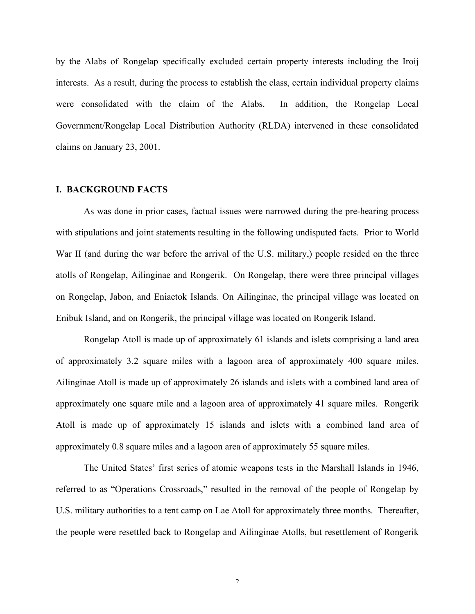by the Alabs of Rongelap specifically excluded certain property interests including the Iroij interests. As a result, during the process to establish the class, certain individual property claims were consolidated with the claim of the Alabs. In addition, the Rongelap Local Government/Rongelap Local Distribution Authority (RLDA) intervened in these consolidated claims on January 23, 2001.

#### **I. BACKGROUND FACTS**

As was done in prior cases, factual issues were narrowed during the pre-hearing process with stipulations and joint statements resulting in the following undisputed facts. Prior to World War II (and during the war before the arrival of the U.S. military,) people resided on the three atolls of Rongelap, Ailinginae and Rongerik. On Rongelap, there were three principal villages on Rongelap, Jabon, and Eniaetok Islands. On Ailinginae, the principal village was located on Enibuk Island, and on Rongerik, the principal village was located on Rongerik Island.

Rongelap Atoll is made up of approximately 61 islands and islets comprising a land area of approximately 3.2 square miles with a lagoon area of approximately 400 square miles. Ailinginae Atoll is made up of approximately 26 islands and islets with a combined land area of approximately one square mile and a lagoon area of approximately 41 square miles. Rongerik Atoll is made up of approximately 15 islands and islets with a combined land area of approximately 0.8 square miles and a lagoon area of approximately 55 square miles.

The United States' first series of atomic weapons tests in the Marshall Islands in 1946, referred to as "Operations Crossroads," resulted in the removal of the people of Rongelap by U.S. military authorities to a tent camp on Lae Atoll for approximately three months. Thereafter, the people were resettled back to Rongelap and Ailinginae Atolls, but resettlement of Rongerik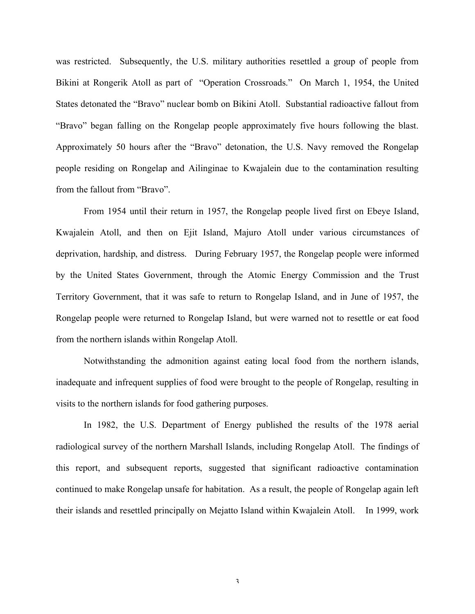was restricted. Subsequently, the U.S. military authorities resettled a group of people from Bikini at Rongerik Atoll as part of "Operation Crossroads." On March 1, 1954, the United States detonated the "Bravo" nuclear bomb on Bikini Atoll. Substantial radioactive fallout from "Bravo" began falling on the Rongelap people approximately five hours following the blast. Approximately 50 hours after the "Bravo" detonation, the U.S. Navy removed the Rongelap people residing on Rongelap and Ailinginae to Kwajalein due to the contamination resulting from the fallout from "Bravo".

From 1954 until their return in 1957, the Rongelap people lived first on Ebeye Island, Kwajalein Atoll, and then on Ejit Island, Majuro Atoll under various circumstances of deprivation, hardship, and distress. During February 1957, the Rongelap people were informed by the United States Government, through the Atomic Energy Commission and the Trust Territory Government, that it was safe to return to Rongelap Island, and in June of 1957, the Rongelap people were returned to Rongelap Island, but were warned not to resettle or eat food from the northern islands within Rongelap Atoll.

Notwithstanding the admonition against eating local food from the northern islands, inadequate and infrequent supplies of food were brought to the people of Rongelap, resulting in visits to the northern islands for food gathering purposes.

In 1982, the U.S. Department of Energy published the results of the 1978 aerial radiological survey of the northern Marshall Islands, including Rongelap Atoll. The findings of this report, and subsequent reports, suggested that significant radioactive contamination continued to make Rongelap unsafe for habitation. As a result, the people of Rongelap again left their islands and resettled principally on Mejatto Island within Kwajalein Atoll. In 1999, work

3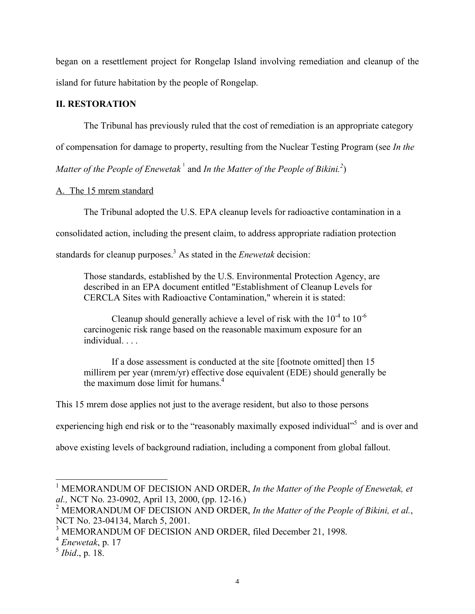began on a resettlement project for Rongelap Island involving remediation and cleanup of the island for future habitation by the people of Rongelap.

### **II. RESTORATION**

The Tribunal has previously ruled that the cost of remediation is an appropriate category

of compensation for damage to property, resulting from the Nuclear Testing Program (see *In the*

*Matter of the People of Enewetak*<sup>1</sup> and *In the Matter of the People of Bikini.*<sup>2</sup>)

## A. The 15 mrem standard

The Tribunal adopted the U.S. EPA cleanup levels for radioactive contamination in a

consolidated action, including the present claim, to address appropriate radiation protection

standards for cleanup purposes. <sup>3</sup> As stated in the *Enewetak* decision:

Those standards, established by the U.S. Environmental Protection Agency, are described in an EPA document entitled "Establishment of Cleanup Levels for CERCLA Sites with Radioactive Contamination," wherein it is stated:

Cleanup should generally achieve a level of risk with the  $10^{-4}$  to  $10^{-6}$ carcinogenic risk range based on the reasonable maximum exposure for an individual. . . .

If a dose assessment is conducted at the site [footnote omitted] then 15 millirem per year (mrem/yr) effective dose equivalent (EDE) should generally be the maximum dose limit for humans. 4

This 15 mrem dose applies not just to the average resident, but also to those persons

experiencing high end risk or to the "reasonably maximally exposed individual"<sup>5</sup> and is over and

above existing levels of background radiation, including a component from global fallout.

 <sup>1</sup> MEMORANDUM OF DECISION AND ORDER, *In the Matter of the People of Enewetak, et al.,* NCT No. 23-0902, April 13, 2000, (pp. 12-16.)

<sup>2</sup> MEMORANDUM OF DECISION AND ORDER, *In the Matter of the People of Bikini, et al.*, NCT No. 23-04134, March 5, 2001.

<sup>3</sup> MEMORANDUM OF DECISION AND ORDER, filed December 21, 1998. <sup>4</sup> *Enewetak*, p. <sup>17</sup>

<sup>5</sup> *Ibid*., p. 18.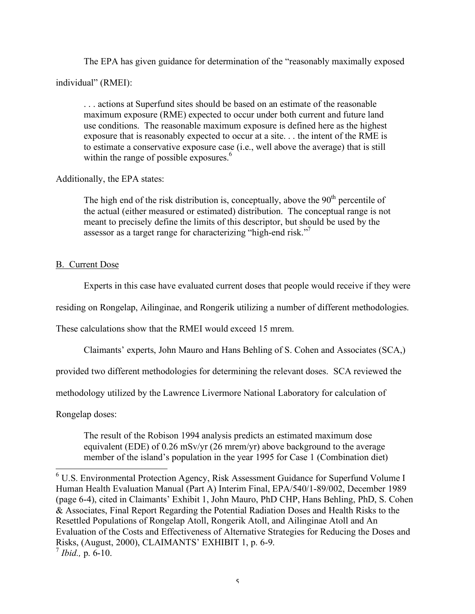The EPA has given guidance for determination of the "reasonably maximally exposed

individual" (RMEI):

. . . actions at Superfund sites should be based on an estimate of the reasonable maximum exposure (RME) expected to occur under both current and future land use conditions. The reasonable maximum exposure is defined here as the highest exposure that is reasonably expected to occur at a site. . . the intent of the RME is to estimate a conservative exposure case (i.e., well above the average) that is still within the range of possible exposures.<sup>6</sup>

Additionally, the EPA states:

The high end of the risk distribution is, conceptually, above the  $90<sup>th</sup>$  percentile of the actual (either measured or estimated) distribution. The conceptual range is not meant to precisely define the limits of this descriptor, but should be used by the assessor as a target range for characterizing "high-end risk."<sup>7</sup>

## B. Current Dose

Experts in this case have evaluated current doses that people would receive if they were

residing on Rongelap, Ailinginae, and Rongerik utilizing a number of different methodologies.

These calculations show that the RMEI would exceed 15 mrem.

Claimants' experts, John Mauro and Hans Behling of S. Cohen and Associates (SCA,)

provided two different methodologies for determining the relevant doses. SCA reviewed the

methodology utilized by the Lawrence Livermore National Laboratory for calculation of

Rongelap doses:

The result of the Robison 1994 analysis predicts an estimated maximum dose equivalent (EDE) of 0.26 mSv/yr (26 mrem/yr) above background to the average member of the island's population in the year 1995 for Case 1 (Combination diet)

<sup>&</sup>lt;sup>6</sup> U.S. Environmental Protection Agency, Risk Assessment Guidance for Superfund Volume I Human Health Evaluation Manual (Part A) Interim Final, EPA/540/1-89/002, December 1989 (page 6-4), cited in Claimants' Exhibit 1, John Mauro, PhD CHP, Hans Behling, PhD, S. Cohen & Associates, Final Report Regarding the Potential Radiation Doses and Health Risks to the Resettled Populations of Rongelap Atoll, Rongerik Atoll, and Ailinginae Atoll and An Evaluation of the Costs and Effectiveness of Alternative Strategies for Reducing the Doses and Risks, (August, 2000), CLAIMANTS' EXHIBIT 1, p. 6-9. <sup>7</sup> *Ibid.,* p. 6-10.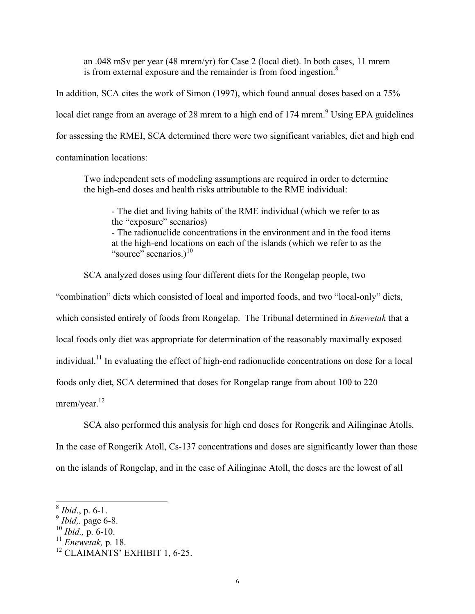an .048 mSv per year (48 mrem/yr) for Case 2 (local diet). In both cases, 11 mrem is from external exposure and the remainder is from food ingestion. $8$ 

In addition, SCA cites the work of Simon (1997), which found annual doses based on a 75% local diet range from an average of 28 mrem to a high end of 174 mrem.<sup>9</sup> Using EPA guidelines for assessing the RMEI, SCA determined there were two significant variables, diet and high end contamination locations:

Two independent sets of modeling assumptions are required in order to determine the high-end doses and health risks attributable to the RME individual:

- The diet and living habits of the RME individual (which we refer to as the "exposure" scenarios)

- The radionuclide concentrations in the environment and in the food items at the high-end locations on each of the islands (which we refer to as the "source" scenarios.) $^{10}$ 

SCA analyzed doses using four different diets for the Rongelap people, two

"combination" diets which consisted of local and imported foods, and two "local-only" diets, which consisted entirely of foods from Rongelap. The Tribunal determined in *Enewetak* that a local foods only diet was appropriate for determination of the reasonably maximally exposed individual.<sup>11</sup> In evaluating the effect of high-end radionuclide concentrations on dose for a local foods only diet, SCA determined that doses for Rongelap range from about 100 to 220

mrem/year.<sup>12</sup>

SCA also performed this analysis for high end doses for Rongerik and Ailinginae Atolls.

In the case of Rongerik Atoll, Cs-137 concentrations and doses are significantly lower than those

on the islands of Rongelap, and in the case of Ailinginae Atoll, the doses are the lowest of all

 <sup>8</sup> *Ibid*., p. 6-1.

<sup>9</sup> *Ibid,.* page 6-8.

<sup>10</sup> *Ibid.,* p. 6-10.

<sup>&</sup>lt;sup>11</sup> *Enewetak*, p. 18.<br><sup>12</sup> CLAIMANTS' EXHIBIT 1, 6-25.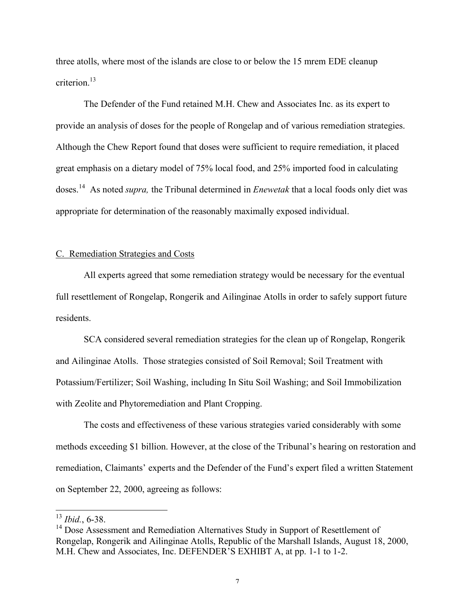three atolls, where most of the islands are close to or below the 15 mrem EDE cleanup criterion. 13

The Defender of the Fund retained M.H. Chew and Associates Inc. as its expert to provide an analysis of doses for the people of Rongelap and of various remediation strategies. Although the Chew Report found that doses were sufficient to require remediation, it placed great emphasis on a dietary model of 75% local food, and 25% imported food in calculating doses. <sup>14</sup> As noted *supra,* the Tribunal determined in *Enewetak* that a local foods only diet was appropriate for determination of the reasonably maximally exposed individual.

#### C. Remediation Strategies and Costs

All experts agreed that some remediation strategy would be necessary for the eventual full resettlement of Rongelap, Rongerik and Ailinginae Atolls in order to safely support future residents.

SCA considered several remediation strategies for the clean up of Rongelap, Rongerik and Ailinginae Atolls. Those strategies consisted of Soil Removal; Soil Treatment with Potassium/Fertilizer; Soil Washing, including In Situ Soil Washing; and Soil Immobilization with Zeolite and Phytoremediation and Plant Cropping.

The costs and effectiveness of these various strategies varied considerably with some methods exceeding \$1 billion. However, at the close of the Tribunal's hearing on restoration and remediation, Claimants' experts and the Defender of the Fund's expert filed a written Statement on September 22, 2000, agreeing as follows:

 <sup>13</sup> *Ibid.*, 6-38.

<sup>&</sup>lt;sup>14</sup> Dose Assessment and Remediation Alternatives Study in Support of Resettlement of Rongelap, Rongerik and Ailinginae Atolls, Republic of the Marshall Islands, August 18, 2000, M.H. Chew and Associates, Inc. DEFENDER'S EXHIBT A, at pp. 1-1 to 1-2.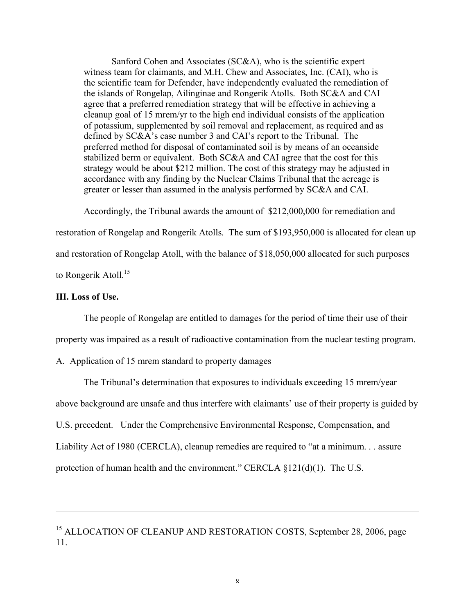Sanford Cohen and Associates (SC&A), who is the scientific expert witness team for claimants, and M.H. Chew and Associates, Inc. (CAI), who is the scientific team for Defender, have independently evaluated the remediation of the islands of Rongelap, Ailinginae and Rongerik Atolls. Both SC&A and CAI agree that a preferred remediation strategy that will be effective in achieving a cleanup goal of 15 mrem/yr to the high end individual consists of the application of potassium, supplemented by soil removal and replacement, as required and as defined by SC&A's case number 3 and CAI's report to the Tribunal. The preferred method for disposal of contaminated soil is by means of an oceanside stabilized berm or equivalent. Both SC&A and CAI agree that the cost for this strategy would be about \$212 million. The cost of this strategy may be adjusted in accordance with any finding by the Nuclear Claims Tribunal that the acreage is greater or lesser than assumed in the analysis performed by SC&A and CAI.

Accordingly, the Tribunal awards the amount of \$212,000,000 for remediation and

restoration of Rongelap and Rongerik Atolls. The sum of \$193,950,000 is allocated for clean up

and restoration of Rongelap Atoll, with the balance of \$18,050,000 allocated for such purposes

to Rongerik Atoll.<sup>15</sup>

### **III. Loss of Use.**

 $\overline{a}$ 

The people of Rongelap are entitled to damages for the period of time their use of their

property was impaired as a result of radioactive contamination from the nuclear testing program.

### A. Application of 15 mrem standard to property damages

The Tribunal's determination that exposures to individuals exceeding 15 mrem/year above background are unsafe and thus interfere with claimants' use of their property is guided by U.S. precedent. Under the Comprehensive Environmental Response, Compensation, and Liability Act of 1980 (CERCLA), cleanup remedies are required to "at a minimum. . . assure protection of human health and the environment." CERCLA §121(d)(1). The U.S.

<sup>15</sup> ALLOCATION OF CLEANUP AND RESTORATION COSTS, September 28, 2006, page 11.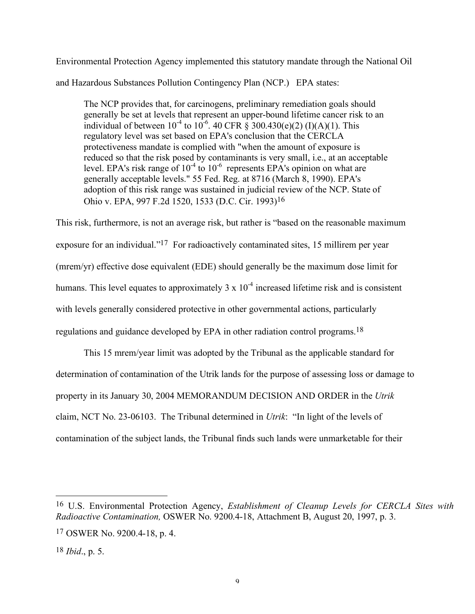Environmental Protection Agency implemented this statutory mandate through the National Oil and Hazardous Substances Pollution Contingency Plan (NCP.) EPA states:

The NCP provides that, for carcinogens, preliminary remediation goals should generally be set at levels that represent an upper-bound lifetime cancer risk to an individual of between  $10^{-4}$  to  $10^{-6}$ . 40 CFR § 300.430(e)(2) (I)(A)(1). This regulatory level was set based on EPA's conclusion that the CERCLA protectiveness mandate is complied with "when the amount of exposure is reduced so that the risk posed by contaminants is very small, i.e., at an acceptable level. EPA's risk range of  $10^{-4}$  to  $10^{-6}$  represents EPA's opinion on what are generally acceptable levels." 55 Fed. Reg. at 8716 (March 8, 1990). EPA's adoption of this risk range was sustained in judicial review of the NCP. State of Ohio v. EPA, 997 F.2d 1520, 1533 (D.C. Cir. 1993)16

This risk, furthermore, is not an average risk, but rather is "based on the reasonable maximum exposure for an individual."17 For radioactively contaminated sites, 15 millirem per year (mrem/yr) effective dose equivalent (EDE) should generally be the maximum dose limit for humans. This level equates to approximately  $3 \times 10^{-4}$  increased lifetime risk and is consistent with levels generally considered protective in other governmental actions, particularly regulations and guidance developed by EPA in other radiation control programs.<sup>18</sup>

This 15 mrem/year limit was adopted by the Tribunal as the applicable standard for determination of contamination of the Utrik lands for the purpose of assessing loss or damage to property in its January 30, 2004 MEMORANDUM DECISION AND ORDER in the *Utrik* claim, NCT No. 23-06103. The Tribunal determined in *Utrik*: "In light of the levels of contamination of the subject lands, the Tribunal finds such lands were unmarketable for their

<sup>16</sup> U.S. Environmental Protection Agency, *Establishment of Cleanup Levels for CERCLA Sites with Radioactive Contamination,* OSWER No. 9200.4-18, Attachment B, August 20, 1997, p. 3.

<sup>17</sup> OSWER No. 9200.4-18, p. 4.

<sup>18</sup> *Ibid*., p. 5.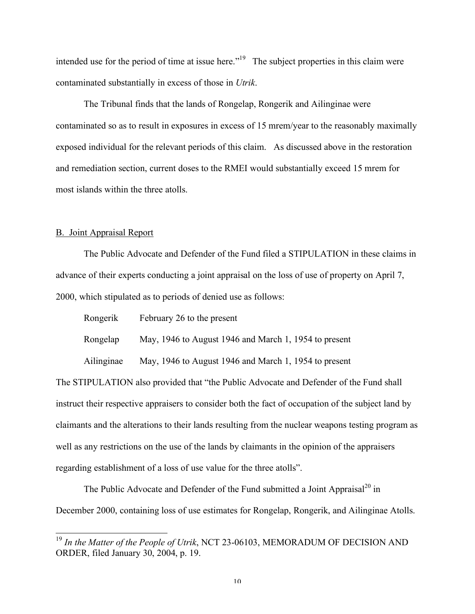intended use for the period of time at issue here."<sup>19</sup> The subject properties in this claim were contaminated substantially in excess of those in *Utrik*.

The Tribunal finds that the lands of Rongelap, Rongerik and Ailinginae were contaminated so as to result in exposures in excess of 15 mrem/year to the reasonably maximally exposed individual for the relevant periods of this claim. As discussed above in the restoration and remediation section, current doses to the RMEI would substantially exceed 15 mrem for most islands within the three atolls.

#### B. Joint Appraisal Report

The Public Advocate and Defender of the Fund filed a STIPULATION in these claims in advance of their experts conducting a joint appraisal on the loss of use of property on April 7, 2000, which stipulated as to periods of denied use as follows:

| Rongerik   | February 26 to the present                            |
|------------|-------------------------------------------------------|
| Rongelap   | May, 1946 to August 1946 and March 1, 1954 to present |
| Ailinginae | May, 1946 to August 1946 and March 1, 1954 to present |

The STIPULATION also provided that "the Public Advocate and Defender of the Fund shall instruct their respective appraisers to consider both the fact of occupation of the subject land by claimants and the alterations to their lands resulting from the nuclear weapons testing program as well as any restrictions on the use of the lands by claimants in the opinion of the appraisers regarding establishment of a loss of use value for the three atolls".

The Public Advocate and Defender of the Fund submitted a Joint Appraisal<sup>20</sup> in December 2000, containing loss of use estimates for Rongelap, Rongerik, and Ailinginae Atolls.

 <sup>19</sup> *In the Matter of the People of Utrik*, NCT 23-06103, MEMORADUM OF DECISION AND ORDER, filed January 30, 2004, p. 19.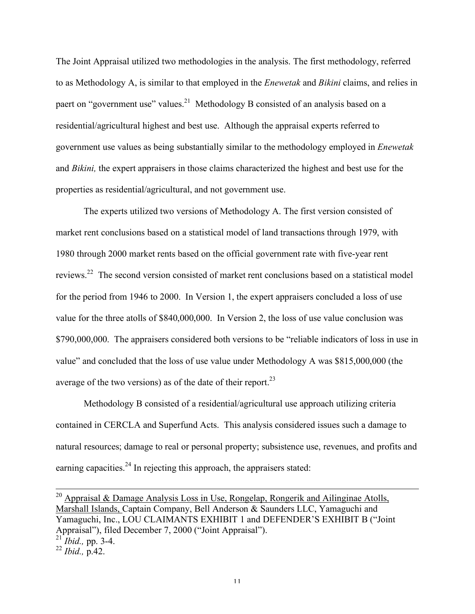The Joint Appraisal utilized two methodologies in the analysis. The first methodology, referred to as Methodology A, is similar to that employed in the *Enewetak* and *Bikini* claims, and relies in paert on "government use" values.<sup>21</sup> Methodology B consisted of an analysis based on a residential/agricultural highest and best use. Although the appraisal experts referred to government use values as being substantially similar to the methodology employed in *Enewetak* and *Bikini,* the expert appraisers in those claims characterized the highest and best use for the properties as residential/agricultural, and not government use.

The experts utilized two versions of Methodology A. The first version consisted of market rent conclusions based on a statistical model of land transactions through 1979, with 1980 through 2000 market rents based on the official government rate with five-year rent reviews.<sup>22</sup> The second version consisted of market rent conclusions based on a statistical model for the period from 1946 to 2000. In Version 1, the expert appraisers concluded a loss of use value for the three atolls of \$840,000,000. In Version 2, the loss of use value conclusion was \$790,000,000. The appraisers considered both versions to be "reliable indicators of loss in use in value" and concluded that the loss of use value under Methodology A was \$815,000,000 (the average of the two versions) as of the date of their report. $^{23}$ 

Methodology B consisted of a residential/agricultural use approach utilizing criteria contained in CERCLA and Superfund Acts. This analysis considered issues such a damage to natural resources; damage to real or personal property; subsistence use, revenues, and profits and earning capacities.<sup>24</sup> In rejecting this approach, the appraisers stated:

<sup>20</sup> Appraisal & Damage Analysis Loss in Use, Rongelap, Rongerik and Ailinginae Atolls, Marshall Islands, Captain Company, Bell Anderson & Saunders LLC, Yamaguchi and Yamaguchi, Inc., LOU CLAIMANTS EXHIBIT 1 and DEFENDER'S EXHIBIT B ("Joint Appraisal"), filed December 7, 2000 ("Joint Appraisal"). <sup>21</sup> *Ibid.,* pp. 3-4.

<sup>22</sup> *Ibid.,* p.42.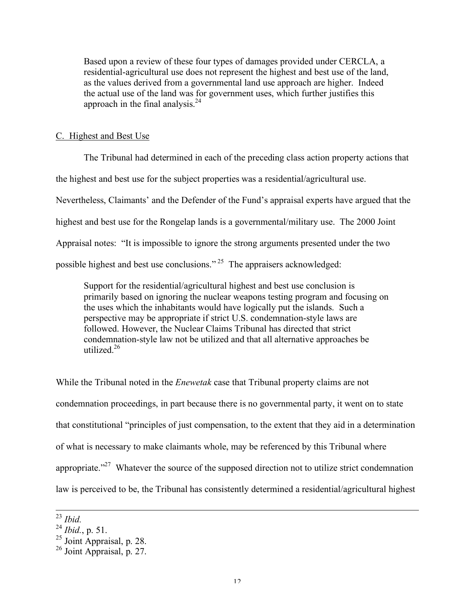Based upon a review of these four types of damages provided under CERCLA, a residential-agricultural use does not represent the highest and best use of the land, as the values derived from a governmental land use approach are higher. Indeed the actual use of the land was for government uses, which further justifies this approach in the final analysis. $^{24}$ 

#### C. Highest and Best Use

The Tribunal had determined in each of the preceding class action property actions that the highest and best use for the subject properties was a residential/agricultural use. Nevertheless, Claimants' and the Defender of the Fund's appraisal experts have argued that the highest and best use for the Rongelap lands is a governmental/military use. The 2000 Joint Appraisal notes: "It is impossible to ignore the strong arguments presented under the two possible highest and best use conclusions." <sup>25</sup> The appraisers acknowledged:

Support for the residential/agricultural highest and best use conclusion is primarily based on ignoring the nuclear weapons testing program and focusing on the uses which the inhabitants would have logically put the islands. Such a perspective may be appropriate if strict U.S. condemnation-style laws are followed. However, the Nuclear Claims Tribunal has directed that strict condemnation-style law not be utilized and that all alternative approaches be utilized  $^{26}$ 

While the Tribunal noted in the *Enewetak* case that Tribunal property claims are not condemnation proceedings, in part because there is no governmental party, it went on to state that constitutional "principles of just compensation, to the extent that they aid in a determination of what is necessary to make claimants whole, may be referenced by this Tribunal where appropriate.<sup> $27$ </sup> Whatever the source of the supposed direction not to utilize strict condemnation law is perceived to be, the Tribunal has consistently determined a residential/agricultural highest

 $^{23}$ *Ibid.*<br> $^{24}$ *Ibid.*, p. 51.

<sup>&</sup>lt;sup>25</sup> Joint Appraisal, p. 28.<br><sup>26</sup> Joint Appraisal, p. 27.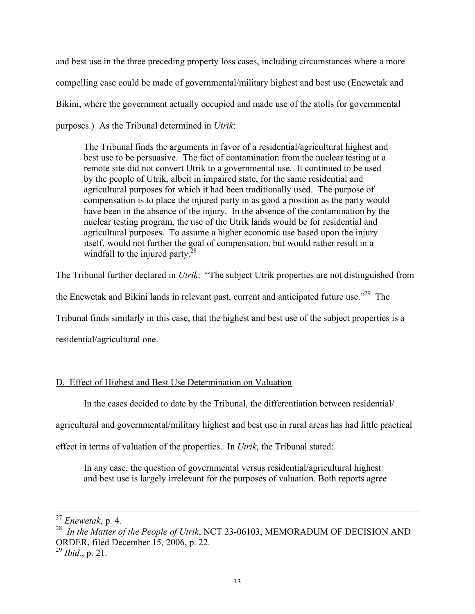and best use in the three preceding property loss cases, including circumstances where a more compelling case could be made of governmental/military highest and best use (Enewetak and Bikini, where the government actually occupied and made use of the atolls for governmental purposes.) As the Tribunal determined in *Utrik*:

The Tribunal finds the arguments in favor of a residential/agricultural highest and best use to be persuasive. The fact of contamination from the nuclear testing at a remote site did not convert Utrik to a governmental use. It continued to be used by the people of Utrik, albeit in impaired state, for the same residential and agricultural purposes for which it had been traditionally used. The purpose of compensation is to place the injured party in as good a position as the party would have been in the absence of the injury. In the absence of the contamination by the nuclear testing program, the use of the Utrik lands would be for residential and agricultural purposes. To assume a higher economic use based upon the injury itself, would not further the goal of compensation, but would rather result in a windfall to the injured party. $28$ 

The Tribunal further declared in *Utrik*: "The subject Utrik properties are not distinguished from

the Enewetak and Bikini lands in relevant past, current and anticipated future use."<sup>29</sup> The

Tribunal finds similarly in this case, that the highest and best use of the subject properties is a

residential/agricultural one.

# D. Effect of Highest and Best Use Determination on Valuation

In the cases decided to date by the Tribunal, the differentiation between residential/

agricultural and governmental/military highest and best use in rural areas has had little practical

effect in terms of valuation of the properties. In *Utrik*, the Tribunal stated:

In any case, the question of governmental versus residential/agricultural highest and best use is largely irrelevant for the purposes of valuation. Both reports agree

<sup>27</sup> *Enewetak*, p. 4. <sup>28</sup> *In the Matter of the People of Utrik*, NCT 23-06103, MEMORADUM OF DECISION AND ORDER, filed December 15, 2006, p. 22.

<sup>29</sup> *Ibid.*, p. 21.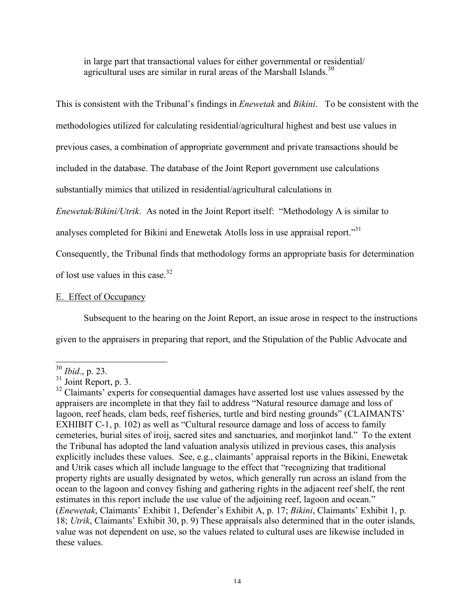in large part that transactional values for either governmental or residential/ agricultural uses are similar in rural areas of the Marshall Islands.<sup>30</sup>

This is consistent with the Tribunal's findings in *Enewetak* and *Bikini*. To be consistent with the

methodologies utilized for calculating residential/agricultural highest and best use values in

previous cases, a combination of appropriate government and private transactions should be

included in the database. The database of the Joint Report government use calculations

substantially mimics that utilized in residential/agricultural calculations in

*Enewetak/Bikini/Utrik*. As noted in the Joint Report itself: "Methodology A is similar to

analyses completed for Bikini and Enewetak Atolls loss in use appraisal report."<sup>31</sup>

Consequently, the Tribunal finds that methodology forms an appropriate basis for determination

of lost use values in this case.<sup>32</sup>

## E. Effect of Occupancy

Subsequent to the hearing on the Joint Report, an issue arose in respect to the instructions

given to the appraisers in preparing that report, and the Stipulation of the Public Advocate and

 $^{30}$  *Ibid.*, p. 23.<br> $^{31}$  Joint Report, p. 3.

 $32$  Claimants' experts for consequential damages have asserted lost use values assessed by the appraisers are incomplete in that they fail to address "Natural resource damage and loss of lagoon, reef heads, clam beds, reef fisheries, turtle and bird nesting grounds" (CLAIMANTS' EXHIBIT C-1, p. 102) as well as "Cultural resource damage and loss of access to family cemeteries, burial sites of iroij, sacred sites and sanctuaries, and morjinkot land." To the extent the Tribunal has adopted the land valuation analysis utilized in previous cases, this analysis explicitly includes these values. See, e.g., claimants' appraisal reports in the Bikini, Enewetak and Utrik cases which all include language to the effect that "recognizing that traditional property rights are usually designated by wetos, which generally run across an island from the ocean to the lagoon and convey fishing and gathering rights in the adjacent reef shelf, the rent estimates in this report include the use value of the adjoining reef, lagoon and ocean." (*Enewetak*, Claimants' Exhibit 1, Defender's Exhibit A, p. 17; *Bikini*, Claimants' Exhibit 1, p. 18; *Utrik*, Claimants' Exhibit 30, p. 9) These appraisals also determined that in the outer islands, value was not dependent on use, so the values related to cultural uses are likewise included in these values.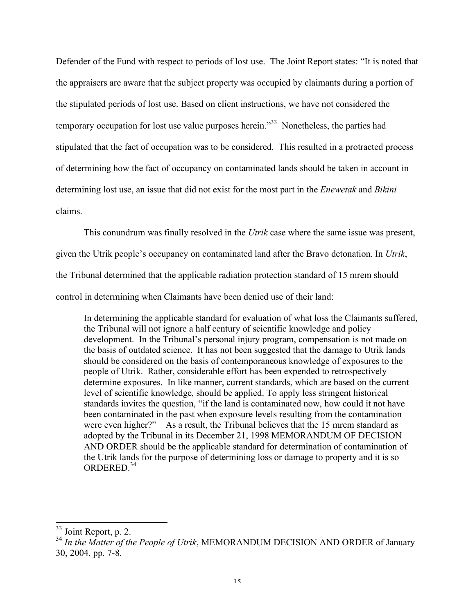Defender of the Fund with respect to periods of lost use. The Joint Report states: "It is noted that the appraisers are aware that the subject property was occupied by claimants during a portion of the stipulated periods of lost use. Based on client instructions, we have not considered the temporary occupation for lost use value purposes herein."<sup>33</sup> Nonetheless, the parties had stipulated that the fact of occupation was to be considered. This resulted in a protracted process of determining how the fact of occupancy on contaminated lands should be taken in account in determining lost use, an issue that did not exist for the most part in the *Enewetak* and *Bikini* claims.

This conundrum was finally resolved in the *Utrik* case where the same issue was present,

given the Utrik people's occupancy on contaminated land after the Bravo detonation. In *Utrik*,

the Tribunal determined that the applicable radiation protection standard of 15 mrem should

control in determining when Claimants have been denied use of their land:

In determining the applicable standard for evaluation of what loss the Claimants suffered, the Tribunal will not ignore a half century of scientific knowledge and policy development. In the Tribunal's personal injury program, compensation is not made on the basis of outdated science. It has not been suggested that the damage to Utrik lands should be considered on the basis of contemporaneous knowledge of exposures to the people of Utrik. Rather, considerable effort has been expended to retrospectively determine exposures. In like manner, current standards, which are based on the current level of scientific knowledge, should be applied. To apply less stringent historical standards invites the question, "if the land is contaminated now, how could it not have been contaminated in the past when exposure levels resulting from the contamination were even higher?" As a result, the Tribunal believes that the 15 mrem standard as adopted by the Tribunal in its December 21, 1998 MEMORANDUM OF DECISION AND ORDER should be the applicable standard for determination of contamination of the Utrik lands for the purpose of determining loss or damage to property and it is so ORDERED. 34

 <sup>33</sup> Joint Report, p. 2.

<sup>34</sup> *In the Matter of the People of Utrik*, MEMORANDUM DECISION AND ORDER of January 30, 2004, pp. 7-8.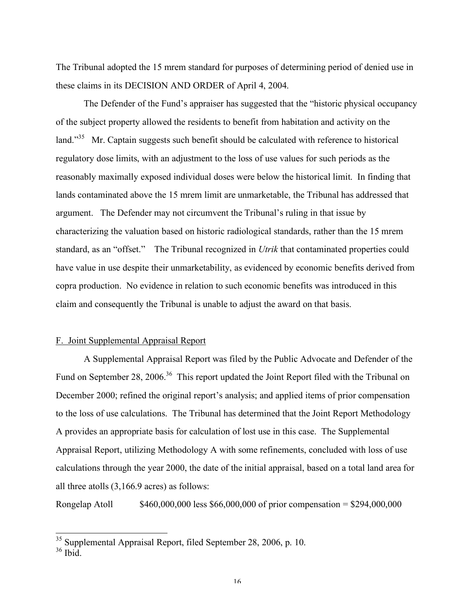The Tribunal adopted the 15 mrem standard for purposes of determining period of denied use in these claims in its DECISION AND ORDER of April 4, 2004.

The Defender of the Fund's appraiser has suggested that the "historic physical occupancy of the subject property allowed the residents to benefit from habitation and activity on the land."<sup>35</sup> Mr. Captain suggests such benefit should be calculated with reference to historical regulatory dose limits, with an adjustment to the loss of use values for such periods as the reasonably maximally exposed individual doses were below the historical limit. In finding that lands contaminated above the 15 mrem limit are unmarketable, the Tribunal has addressed that argument. The Defender may not circumvent the Tribunal's ruling in that issue by characterizing the valuation based on historic radiological standards, rather than the 15 mrem standard, as an "offset." The Tribunal recognized in *Utrik* that contaminated properties could have value in use despite their unmarketability, as evidenced by economic benefits derived from copra production. No evidence in relation to such economic benefits was introduced in this claim and consequently the Tribunal is unable to adjust the award on that basis.

### F. Joint Supplemental Appraisal Report

A Supplemental Appraisal Report was filed by the Public Advocate and Defender of the Fund on September 28, 2006.<sup>36</sup> This report updated the Joint Report filed with the Tribunal on December 2000; refined the original report's analysis; and applied items of prior compensation to the loss of use calculations. The Tribunal has determined that the Joint Report Methodology A provides an appropriate basis for calculation of lost use in this case. The Supplemental Appraisal Report, utilizing Methodology A with some refinements, concluded with loss of use calculations through the year 2000, the date of the initial appraisal, based on a total land area for all three atolls (3,166.9 acres) as follows:

Rongelap Atoll  $$460,000,000$  less \$66,000,000 of prior compensation = \$294,000,000

 $\frac{35}{36}$  Supplemental Appraisal Report, filed September 28, 2006, p. 10.  $\frac{36}{36}$  Ibid.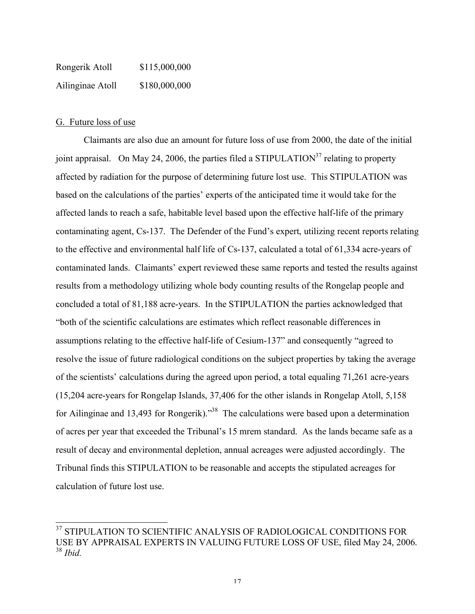Rongerik Atoll \$115,000,000 Ailinginae Atoll \$180,000,000

## G. Future loss of use

Claimants are also due an amount for future loss of use from 2000, the date of the initial joint appraisal. On May 24, 2006, the parties filed a STIPULATION<sup>37</sup> relating to property affected by radiation for the purpose of determining future lost use. This STIPULATION was based on the calculations of the parties' experts of the anticipated time it would take for the affected lands to reach a safe, habitable level based upon the effective half-life of the primary contaminating agent, Cs-137. The Defender of the Fund's expert, utilizing recent reports relating to the effective and environmental half life of Cs-137, calculated a total of 61,334 acre-years of contaminated lands. Claimants' expert reviewed these same reports and tested the results against results from a methodology utilizing whole body counting results of the Rongelap people and concluded a total of 81,188 acre-years. In the STIPULATION the parties acknowledged that "both of the scientific calculations are estimates which reflect reasonable differences in assumptions relating to the effective half-life of Cesium-137" and consequently "agreed to resolve the issue of future radiological conditions on the subject properties by taking the average of the scientists' calculations during the agreed upon period, a total equaling 71,261 acre-years (15,204 acre-years for Rongelap Islands, 37,406 for the other islands in Rongelap Atoll, 5,158 for Ailinginae and 13,493 for Rongerik)."<sup>38</sup> The calculations were based upon a determination of acres per year that exceeded the Tribunal's 15 mrem standard. As the lands became safe as a result of decay and environmental depletion, annual acreages were adjusted accordingly. The Tribunal finds this STIPULATION to be reasonable and accepts the stipulated acreages for calculation of future lost use.

 $^{37}$  STIPULATION TO SCIENTIFIC ANALYSIS OF RADIOLOGICAL CONDITIONS FOR USE BY APPRAISAL EXPERTS IN VALUING FUTURE LOSS OF USE, filed May 24, 2006. <sup>38</sup> *Ibid.*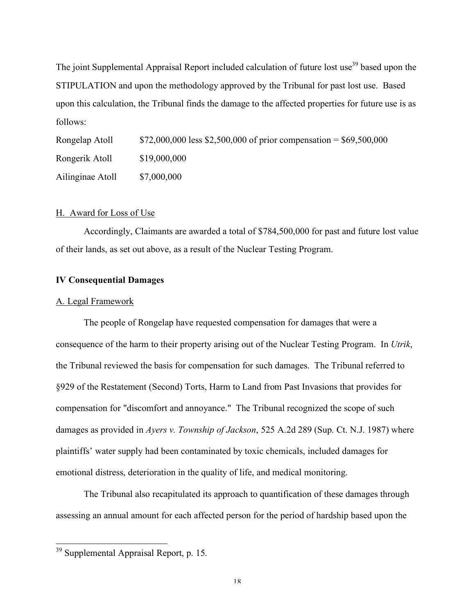The joint Supplemental Appraisal Report included calculation of future lost use<sup>39</sup> based upon the STIPULATION and upon the methodology approved by the Tribunal for past lost use. Based upon this calculation, the Tribunal finds the damage to the affected properties for future use is as follows:

| Rongelap Atoll   | \$72,000,000 less \$2,500,000 of prior compensation = \$69,500,000 |
|------------------|--------------------------------------------------------------------|
| Rongerik Atoll   | \$19,000,000                                                       |
| Ailinginae Atoll | \$7,000,000                                                        |

#### H. Award for Loss of Use

Accordingly, Claimants are awarded a total of \$784,500,000 for past and future lost value of their lands, as set out above, as a result of the Nuclear Testing Program.

### **IV Consequential Damages**

#### A. Legal Framework

The people of Rongelap have requested compensation for damages that were a consequence of the harm to their property arising out of the Nuclear Testing Program. In *Utrik*, the Tribunal reviewed the basis for compensation for such damages. The Tribunal referred to §929 of the Restatement (Second) Torts, Harm to Land from Past Invasions that provides for compensation for "discomfort and annoyance." The Tribunal recognized the scope of such damages as provided in *Ayers v. Township of Jackson*, 525 A.2d 289 (Sup. Ct. N.J. 1987) where plaintiffs' water supply had been contaminated by toxic chemicals, included damages for emotional distress, deterioration in the quality of life, and medical monitoring.

The Tribunal also recapitulated its approach to quantification of these damages through assessing an annual amount for each affected person for the period of hardship based upon the

 <sup>39</sup> Supplemental Appraisal Report, p. 15.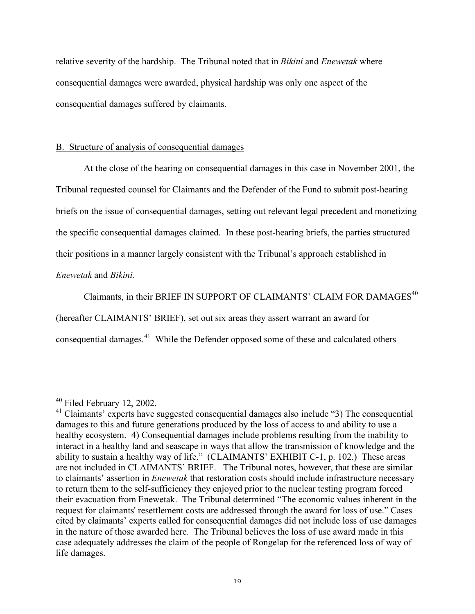relative severity of the hardship. The Tribunal noted that in *Bikini* and *Enewetak* where consequential damages were awarded, physical hardship was only one aspect of the consequential damages suffered by claimants.

## B. Structure of analysis of consequential damages

At the close of the hearing on consequential damages in this case in November 2001, the Tribunal requested counsel for Claimants and the Defender of the Fund to submit post-hearing briefs on the issue of consequential damages, setting out relevant legal precedent and monetizing the specific consequential damages claimed. In these post-hearing briefs, the parties structured their positions in a manner largely consistent with the Tribunal's approach established in

## *Enewetak* and *Bikini*.

Claimants, in their BRIEF IN SUPPORT OF CLAIMANTS' CLAIM FOR DAMAGES $^{40}$ (hereafter CLAIMANTS' BRIEF), set out six areas they assert warrant an award for consequential damages.<sup>41</sup> While the Defender opposed some of these and calculated others

<sup>&</sup>lt;sup>40</sup> Filed February 12, 2002.<br><sup>41</sup> Claimants' experts have suggested consequential damages also include "3) The consequential damages to this and future generations produced by the loss of access to and ability to use a healthy ecosystem. 4) Consequential damages include problems resulting from the inability to interact in a healthy land and seascape in ways that allow the transmission of knowledge and the ability to sustain a healthy way of life." (CLAIMANTS' EXHIBIT C-1, p. 102.) These areas are not included in CLAIMANTS' BRIEF. The Tribunal notes, however, that these are similar to claimants' assertion in *Enewetak* that restoration costs should include infrastructure necessary to return them to the self-sufficiency they enjoyed prior to the nuclear testing program forced their evacuation from Enewetak. The Tribunal determined "The economic values inherent in the request for claimants' resettlement costs are addressed through the award for loss of use." Cases cited by claimants' experts called for consequential damages did not include loss of use damages in the nature of those awarded here. The Tribunal believes the loss of use award made in this case adequately addresses the claim of the people of Rongelap for the referenced loss of way of life damages.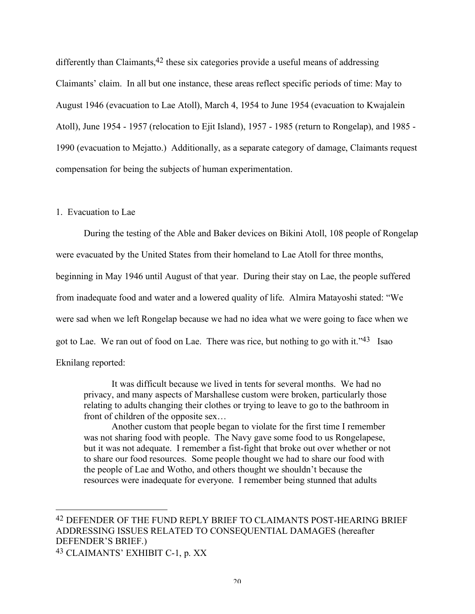differently than Claimants,<sup>42</sup> these six categories provide a useful means of addressing Claimants' claim. In all but one instance, these areas reflect specific periods of time: May to August 1946 (evacuation to Lae Atoll), March 4, 1954 to June 1954 (evacuation to Kwajalein Atoll), June 1954 - 1957 (relocation to Ejit Island), 1957 - 1985 (return to Rongelap), and 1985 - 1990 (evacuation to Mejatto.) Additionally, as a separate category of damage, Claimants request compensation for being the subjects of human experimentation.

### 1. Evacuation to Lae

 $\overline{a}$ 

During the testing of the Able and Baker devices on Bikini Atoll, 108 people of Rongelap were evacuated by the United States from their homeland to Lae Atoll for three months, beginning in May 1946 until August of that year. During their stay on Lae, the people suffered from inadequate food and water and a lowered quality of life. Almira Matayoshi stated: "We were sad when we left Rongelap because we had no idea what we were going to face when we got to Lae. We ran out of food on Lae. There was rice, but nothing to go with it."43 Isao Eknilang reported:

It was difficult because we lived in tents for several months. We had no privacy, and many aspects of Marshallese custom were broken, particularly those relating to adults changing their clothes or trying to leave to go to the bathroom in front of children of the opposite sex…

Another custom that people began to violate for the first time I remember was not sharing food with people. The Navy gave some food to us Rongelapese, but it was not adequate. I remember a fist-fight that broke out over whether or not to share our food resources. Some people thought we had to share our food with the people of Lae and Wotho, and others thought we shouldn't because the resources were inadequate for everyone. I remember being stunned that adults

<sup>42</sup> DEFENDER OF THE FUND REPLY BRIEF TO CLAIMANTS POST-HEARING BRIEF ADDRESSING ISSUES RELATED TO CONSEQUENTIAL DAMAGES (hereafter DEFENDER'S BRIEF.) 43 CLAIMANTS' EXHIBIT C-1, p. XX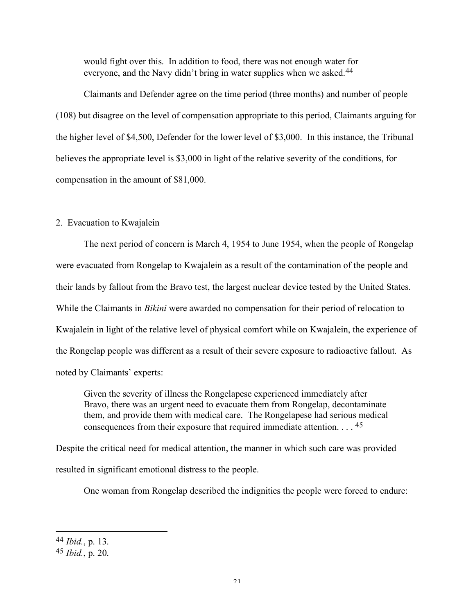would fight over this. In addition to food, there was not enough water for everyone, and the Navy didn't bring in water supplies when we asked.<sup>44</sup>

Claimants and Defender agree on the time period (three months) and number of people (108) but disagree on the level of compensation appropriate to this period, Claimants arguing for the higher level of \$4,500, Defender for the lower level of \$3,000. In this instance, the Tribunal believes the appropriate level is \$3,000 in light of the relative severity of the conditions, for compensation in the amount of \$81,000.

### 2. Evacuation to Kwajalein

The next period of concern is March 4, 1954 to June 1954, when the people of Rongelap were evacuated from Rongelap to Kwajalein as a result of the contamination of the people and their lands by fallout from the Bravo test, the largest nuclear device tested by the United States. While the Claimants in *Bikini* were awarded no compensation for their period of relocation to Kwajalein in light of the relative level of physical comfort while on Kwajalein, the experience of the Rongelap people was different as a result of their severe exposure to radioactive fallout. As noted by Claimants' experts:

Given the severity of illness the Rongelapese experienced immediately after Bravo, there was an urgent need to evacuate them from Rongelap, decontaminate them, and provide them with medical care. The Rongelapese had serious medical consequences from their exposure that required immediate attention. . . . 45

Despite the critical need for medical attention, the manner in which such care was provided resulted in significant emotional distress to the people.

One woman from Rongelap described the indignities the people were forced to endure:

<sup>44</sup> *Ibid.*, p. 13.

<sup>45</sup> *Ibid.*, p. 20.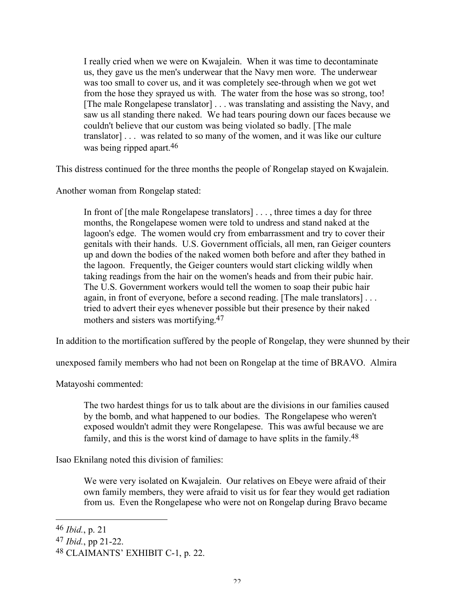I really cried when we were on Kwajalein. When it was time to decontaminate us, they gave us the men's underwear that the Navy men wore. The underwear was too small to cover us, and it was completely see-through when we got wet from the hose they sprayed us with. The water from the hose was so strong, too! [The male Rongelapese translator] . . . was translating and assisting the Navy, and saw us all standing there naked. We had tears pouring down our faces because we couldn't believe that our custom was being violated so badly. [The male translator] . . . was related to so many of the women, and it was like our culture was being ripped apart. 46

This distress continued for the three months the people of Rongelap stayed on Kwajalein.

Another woman from Rongelap stated:

In front of [the male Rongelapese translators] . . . , three times a day for three months, the Rongelapese women were told to undress and stand naked at the lagoon's edge. The women would cry from embarrassment and try to cover their genitals with their hands. U.S. Government officials, all men, ran Geiger counters up and down the bodies of the naked women both before and after they bathed in the lagoon. Frequently, the Geiger counters would start clicking wildly when taking readings from the hair on the women's heads and from their pubic hair. The U.S. Government workers would tell the women to soap their pubic hair again, in front of everyone, before a second reading. [The male translators] . . . tried to advert their eyes whenever possible but their presence by their naked mothers and sisters was mortifying. 47

In addition to the mortification suffered by the people of Rongelap, they were shunned by their

unexposed family members who had not been on Rongelap at the time of BRAVO. Almira

Matayoshi commented:

The two hardest things for us to talk about are the divisions in our families caused by the bomb, and what happened to our bodies. The Rongelapese who weren't exposed wouldn't admit they were Rongelapese. This was awful because we are family, and this is the worst kind of damage to have splits in the family.<sup>48</sup>

Isao Eknilang noted this division of families:

We were very isolated on Kwajalein. Our relatives on Ebeye were afraid of their own family members, they were afraid to visit us for fear they would get radiation from us. Even the Rongelapese who were not on Rongelap during Bravo became

<sup>46</sup> *Ibid.*, p. 21

<sup>47</sup> *Ibid.*, pp 21-22.

<sup>48</sup> CLAIMANTS' EXHIBIT C-1, p. 22.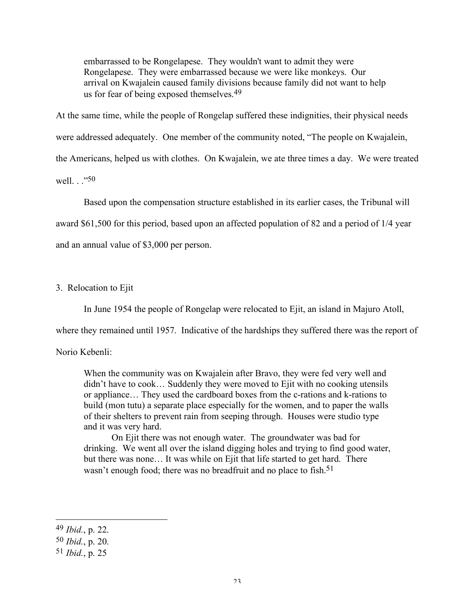embarrassed to be Rongelapese. They wouldn't want to admit they were Rongelapese. They were embarrassed because we were like monkeys. Our arrival on Kwajalein caused family divisions because family did not want to help us for fear of being exposed themselves.<sup>49</sup>

At the same time, while the people of Rongelap suffered these indignities, their physical needs were addressed adequately. One member of the community noted, "The people on Kwajalein, the Americans, helped us with clothes. On Kwajalein, we ate three times a day. We were treated well  $\cdot$  <sup>.</sup> <sup>50</sup>

Based upon the compensation structure established in its earlier cases, the Tribunal will award \$61,500 for this period, based upon an affected population of 82 and a period of 1/4 year and an annual value of \$3,000 per person.

# 3. Relocation to Ejit

In June 1954 the people of Rongelap were relocated to Ejit, an island in Majuro Atoll,

where they remained until 1957. Indicative of the hardships they suffered there was the report of

### Norio Kebenli:

When the community was on Kwajalein after Bravo, they were fed very well and didn't have to cook… Suddenly they were moved to Ejit with no cooking utensils or appliance… They used the cardboard boxes from the c-rations and k-rations to build (mon tutu) a separate place especially for the women, and to paper the walls of their shelters to prevent rain from seeping through. Houses were studio type and it was very hard.

On Ejit there was not enough water. The groundwater was bad for drinking. We went all over the island digging holes and trying to find good water, but there was none… It was while on Ejit that life started to get hard. There wasn't enough food; there was no breadfruit and no place to fish.<sup>51</sup>

<sup>49</sup> *Ibid.*, p. 22.

<sup>50</sup> *Ibid.*, p. 20.

<sup>51</sup> *Ibid.*, p. 25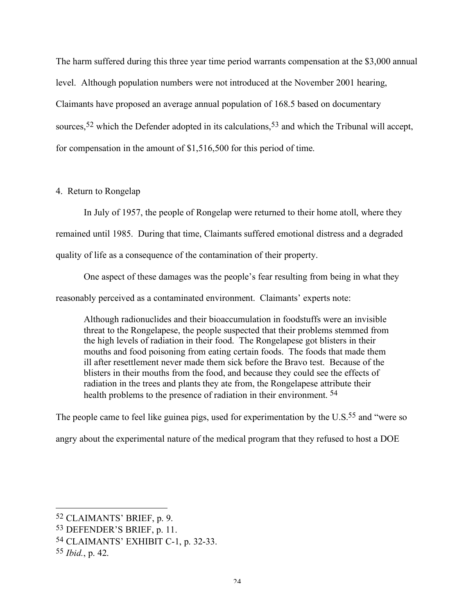The harm suffered during this three year time period warrants compensation at the \$3,000 annual level. Although population numbers were not introduced at the November 2001 hearing, Claimants have proposed an average annual population of 168.5 based on documentary sources,<sup>52</sup> which the Defender adopted in its calculations,<sup>53</sup> and which the Tribunal will accept, for compensation in the amount of \$1,516,500 for this period of time.

## 4. Return to Rongelap

In July of 1957, the people of Rongelap were returned to their home atoll, where they remained until 1985. During that time, Claimants suffered emotional distress and a degraded quality of life as a consequence of the contamination of their property.

One aspect of these damages was the people's fear resulting from being in what they reasonably perceived as a contaminated environment. Claimants' experts note:

Although radionuclides and their bioaccumulation in foodstuffs were an invisible threat to the Rongelapese, the people suspected that their problems stemmed from the high levels of radiation in their food. The Rongelapese got blisters in their mouths and food poisoning from eating certain foods. The foods that made them ill after resettlement never made them sick before the Bravo test. Because of the blisters in their mouths from the food, and because they could see the effects of radiation in the trees and plants they ate from, the Rongelapese attribute their health problems to the presence of radiation in their environment. 54

The people came to feel like guinea pigs, used for experimentation by the U.S.<sup>55</sup> and "were so

angry about the experimental nature of the medical program that they refused to host a DOE

<sup>52</sup> CLAIMANTS' BRIEF, p. 9.

<sup>53</sup> DEFENDER'S BRIEF, p. 11.

<sup>54</sup> CLAIMANTS' EXHIBIT C-1, p. 32-33.

<sup>55</sup> *Ibid.*, p. 42.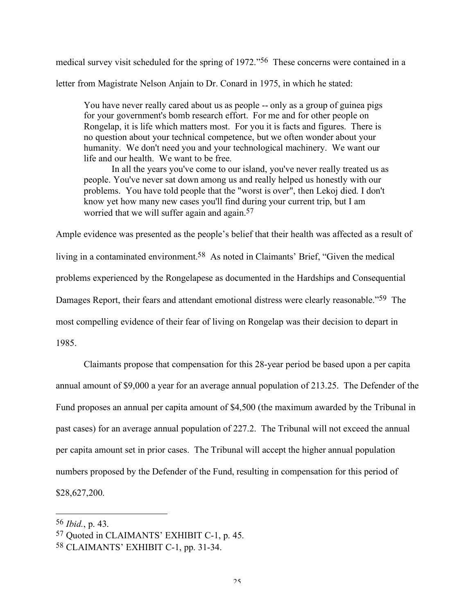medical survey visit scheduled for the spring of 1972."56 These concerns were contained in a letter from Magistrate Nelson Anjain to Dr. Conard in 1975, in which he stated:

You have never really cared about us as people -- only as a group of guinea pigs for your government's bomb research effort. For me and for other people on Rongelap, it is life which matters most. For you it is facts and figures. There is no question about your technical competence, but we often wonder about your humanity. We don't need you and your technological machinery. We want our life and our health. We want to be free.

In all the years you've come to our island, you've never really treated us as people. You've never sat down among us and really helped us honestly with our problems. You have told people that the "worst is over", then Lekoj died. I don't know yet how many new cases you'll find during your current trip, but I am worried that we will suffer again and again.<sup>57</sup>

Ample evidence was presented as the people's belief that their health was affected as a result of living in a contaminated environment. 58 As noted in Claimants' Brief, "Given the medical problems experienced by the Rongelapese as documented in the Hardships and Consequential Damages Report, their fears and attendant emotional distress were clearly reasonable."59 The most compelling evidence of their fear of living on Rongelap was their decision to depart in 1985.

Claimants propose that compensation for this 28-year period be based upon a per capita annual amount of \$9,000 a year for an average annual population of 213.25. The Defender of the Fund proposes an annual per capita amount of \$4,500 (the maximum awarded by the Tribunal in past cases) for an average annual population of 227.2. The Tribunal will not exceed the annual per capita amount set in prior cases. The Tribunal will accept the higher annual population numbers proposed by the Defender of the Fund, resulting in compensation for this period of \$28,627,200.

<sup>56</sup> *Ibid.*, p. 43.

<sup>57</sup> Quoted in CLAIMANTS' EXHIBIT C-1, p. 45.

<sup>58</sup> CLAIMANTS' EXHIBIT C-1, pp. 31-34.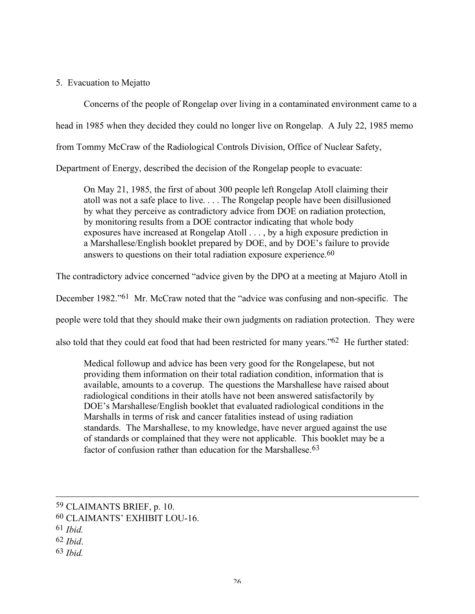5. Evacuation to Mejatto

Concerns of the people of Rongelap over living in a contaminated environment came to a head in 1985 when they decided they could no longer live on Rongelap. A July 22, 1985 memo from Tommy McCraw of the Radiological Controls Division, Office of Nuclear Safety, Department of Energy, described the decision of the Rongelap people to evacuate:

On May 21, 1985, the first of about 300 people left Rongelap Atoll claiming their atoll was not a safe place to live. . . . The Rongelap people have been disillusioned by what they perceive as contradictory advice from DOE on radiation protection, by monitoring results from a DOE contractor indicating that whole body exposures have increased at Rongelap Atoll . . . , by a high exposure prediction in a Marshallese/English booklet prepared by DOE, and by DOE's failure to provide

answers to questions on their total radiation exposure experience. 60

The contradictory advice concerned "advice given by the DPO at a meeting at Majuro Atoll in

December 1982."61 Mr. McCraw noted that the "advice was confusing and non-specific. The

people were told that they should make their own judgments on radiation protection. They were

also told that they could eat food that had been restricted for many years."62 He further stated:

Medical followup and advice has been very good for the Rongelapese, but not providing them information on their total radiation condition, information that is available, amounts to a coverup. The questions the Marshallese have raised about radiological conditions in their atolls have not been answered satisfactorily by DOE's Marshallese/English booklet that evaluated radiological conditions in the Marshalls in terms of risk and cancer fatalities instead of using radiation standards. The Marshallese, to my knowledge, have never argued against the use of standards or complained that they were not applicable. This booklet may be a factor of confusion rather than education for the Marshallese.<sup>63</sup>

<sup>59</sup> CLAIMANTS BRIEF, p. 10.

<sup>60</sup> CLAIMANTS' EXHIBIT LOU-16.

<sup>61</sup> *Ibid.*

<sup>62</sup> *Ibid*.

<sup>63</sup> *Ibid.*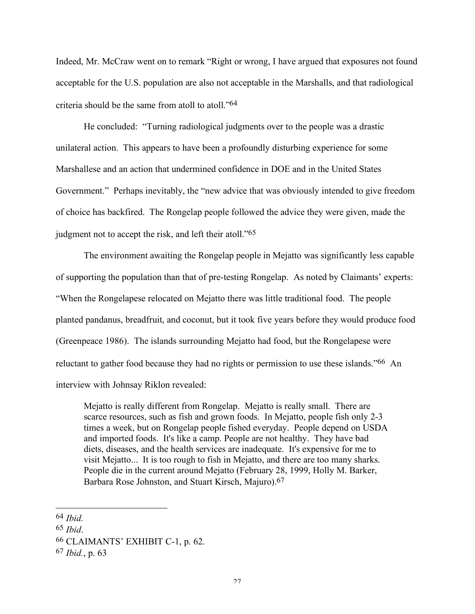Indeed, Mr. McCraw went on to remark "Right or wrong, I have argued that exposures not found acceptable for the U.S. population are also not acceptable in the Marshalls, and that radiological criteria should be the same from atoll to atoll."64

He concluded: "Turning radiological judgments over to the people was a drastic unilateral action. This appears to have been a profoundly disturbing experience for some Marshallese and an action that undermined confidence in DOE and in the United States Government." Perhaps inevitably, the "new advice that was obviously intended to give freedom of choice has backfired. The Rongelap people followed the advice they were given, made the judgment not to accept the risk, and left their atoll."<sup>65</sup>

The environment awaiting the Rongelap people in Mejatto was significantly less capable of supporting the population than that of pre-testing Rongelap. As noted by Claimants' experts: "When the Rongelapese relocated on Mejatto there was little traditional food. The people planted pandanus, breadfruit, and coconut, but it took five years before they would produce food (Greenpeace 1986). The islands surrounding Mejatto had food, but the Rongelapese were reluctant to gather food because they had no rights or permission to use these islands."<sup>66</sup> An interview with Johnsay Riklon revealed:

Mejatto is really different from Rongelap. Mejatto is really small. There are scarce resources, such as fish and grown foods. In Mejatto, people fish only 2-3 times a week, but on Rongelap people fished everyday. People depend on USDA and imported foods. It's like a camp. People are not healthy. They have bad diets, diseases, and the health services are inadequate. It's expensive for me to visit Mejatto... It is too rough to fish in Mejatto, and there are too many sharks. People die in the current around Mejatto (February 28, 1999, Holly M. Barker, Barbara Rose Johnston, and Stuart Kirsch, Majuro). 67

<sup>64</sup> *Ibid.*

<sup>65</sup> *Ibid*.

<sup>66</sup> CLAIMANTS' EXHIBIT C-1, p. 62.

<sup>67</sup> *Ibid.*, p. 63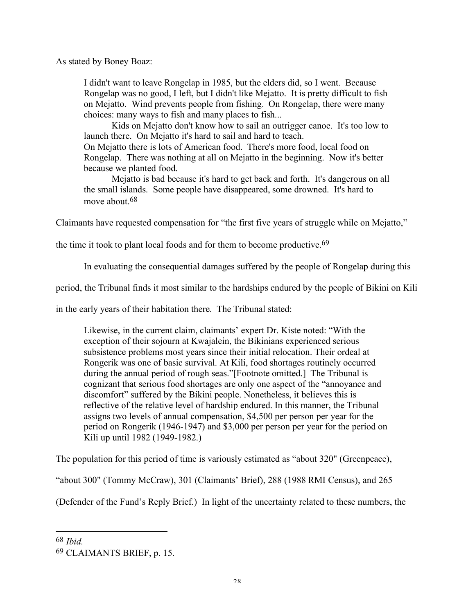As stated by Boney Boaz:

I didn't want to leave Rongelap in 1985, but the elders did, so I went. Because Rongelap was no good, I left, but I didn't like Mejatto. It is pretty difficult to fish on Mejatto. Wind prevents people from fishing. On Rongelap, there were many choices: many ways to fish and many places to fish...

Kids on Mejatto don't know how to sail an outrigger canoe. It's too low to launch there. On Mejatto it's hard to sail and hard to teach. On Mejatto there is lots of American food. There's more food, local food on Rongelap. There was nothing at all on Mejatto in the beginning. Now it's better because we planted food.

Mejatto is bad because it's hard to get back and forth. It's dangerous on all the small islands. Some people have disappeared, some drowned. It's hard to move about. 68

Claimants have requested compensation for "the first five years of struggle while on Mejatto,"

the time it took to plant local foods and for them to become productive. 69

In evaluating the consequential damages suffered by the people of Rongelap during this

period, the Tribunal finds it most similar to the hardships endured by the people of Bikini on Kili

in the early years of their habitation there. The Tribunal stated:

Likewise, in the current claim, claimants' expert Dr. Kiste noted: "With the exception of their sojourn at Kwajalein, the Bikinians experienced serious subsistence problems most years since their initial relocation. Their ordeal at Rongerik was one of basic survival. At Kili, food shortages routinely occurred during the annual period of rough seas."[Footnote omitted.] The Tribunal is cognizant that serious food shortages are only one aspect of the "annoyance and discomfort" suffered by the Bikini people. Nonetheless, it believes this is reflective of the relative level of hardship endured. In this manner, the Tribunal assigns two levels of annual compensation, \$4,500 per person per year for the period on Rongerik (1946-1947) and \$3,000 per person per year for the period on Kili up until 1982 (1949-1982.)

The population for this period of time is variously estimated as "about 320" (Greenpeace),

"about 300" (Tommy McCraw), 301 (Claimants' Brief), 288 (1988 RMI Census), and 265

(Defender of the Fund's Reply Brief.) In light of the uncertainty related to these numbers, the

68 *Ibid.*

<sup>69</sup> CLAIMANTS BRIEF, p. 15.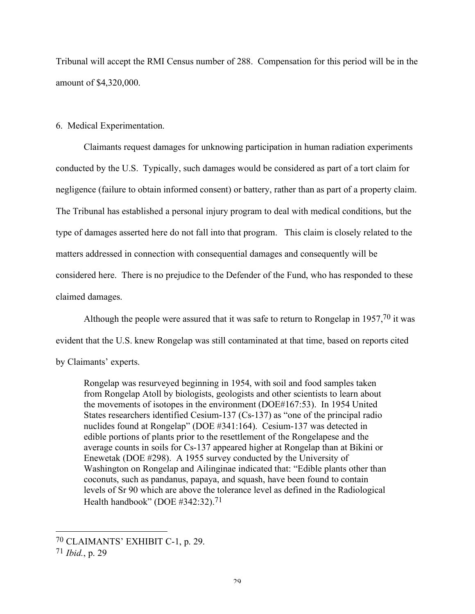Tribunal will accept the RMI Census number of 288. Compensation for this period will be in the amount of \$4,320,000.

## 6. Medical Experimentation.

Claimants request damages for unknowing participation in human radiation experiments conducted by the U.S. Typically, such damages would be considered as part of a tort claim for negligence (failure to obtain informed consent) or battery, rather than as part of a property claim. The Tribunal has established a personal injury program to deal with medical conditions, but the type of damages asserted here do not fall into that program. This claim is closely related to the matters addressed in connection with consequential damages and consequently will be considered here. There is no prejudice to the Defender of the Fund, who has responded to these claimed damages.

Although the people were assured that it was safe to return to Rongelap in 1957,70 it was

evident that the U.S. knew Rongelap was still contaminated at that time, based on reports cited

by Claimants' experts.

Rongelap was resurveyed beginning in 1954, with soil and food samples taken from Rongelap Atoll by biologists, geologists and other scientists to learn about the movements of isotopes in the environment (DOE#167:53). In 1954 United States researchers identified Cesium-137 (Cs-137) as "one of the principal radio nuclides found at Rongelap" (DOE #341:164). Cesium-137 was detected in edible portions of plants prior to the resettlement of the Rongelapese and the average counts in soils for Cs-137 appeared higher at Rongelap than at Bikini or Enewetak (DOE #298). A 1955 survey conducted by the University of Washington on Rongelap and Ailinginae indicated that: "Edible plants other than coconuts, such as pandanus, papaya, and squash, have been found to contain levels of Sr 90 which are above the tolerance level as defined in the Radiological Health handbook" (DOE #342:32). 71

70 CLAIMANTS' EXHIBIT C-1, p. 29.

<sup>71</sup> *Ibid.*, p. 29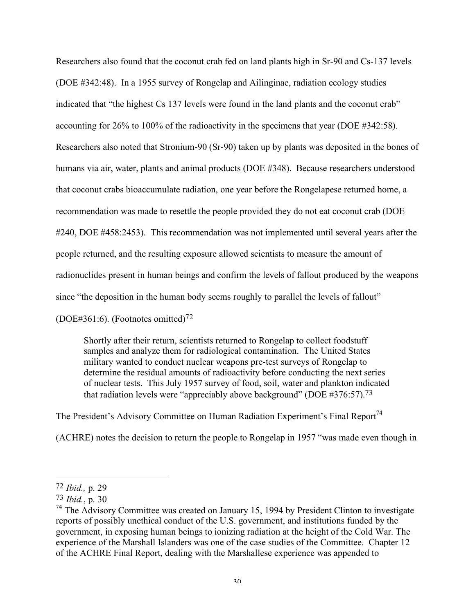Researchers also found that the coconut crab fed on land plants high in Sr-90 and Cs-137 levels (DOE #342:48). In a 1955 survey of Rongelap and Ailinginae, radiation ecology studies indicated that "the highest Cs 137 levels were found in the land plants and the coconut crab" accounting for 26% to 100% of the radioactivity in the specimens that year (DOE #342:58). Researchers also noted that Stronium-90 (Sr-90) taken up by plants was deposited in the bones of humans via air, water, plants and animal products (DOE #348). Because researchers understood that coconut crabs bioaccumulate radiation, one year before the Rongelapese returned home, a recommendation was made to resettle the people provided they do not eat coconut crab (DOE #240, DOE #458:2453). This recommendation was not implemented until several years after the people returned, and the resulting exposure allowed scientists to measure the amount of radionuclides present in human beings and confirm the levels of fallout produced by the weapons since "the deposition in the human body seems roughly to parallel the levels of fallout"

(DOE#361:6). (Footnotes omitted)72

Shortly after their return, scientists returned to Rongelap to collect foodstuff samples and analyze them for radiological contamination. The United States military wanted to conduct nuclear weapons pre-test surveys of Rongelap to determine the residual amounts of radioactivity before conducting the next series of nuclear tests. This July 1957 survey of food, soil, water and plankton indicated that radiation levels were "appreciably above background" (DOE  $#376:57$ ).<sup>73</sup>

The President's Advisory Committee on Human Radiation Experiment's Final Report<sup>74</sup>

(ACHRE) notes the decision to return the people to Rongelap in 1957 "was made even though in

 $\overline{\phantom{a}}$ 

<sup>72</sup> *Ibid.,* p. 29

<sup>73</sup> *Ibid.*, p. 30

 $74$  The Advisory Committee was created on January 15, 1994 by President Clinton to investigate reports of possibly unethical conduct of the U.S. government, and institutions funded by the government, in exposing human beings to ionizing radiation at the height of the Cold War. The experience of the Marshall Islanders was one of the case studies of the Committee. Chapter 12 of the ACHRE Final Report, dealing with the Marshallese experience was appended to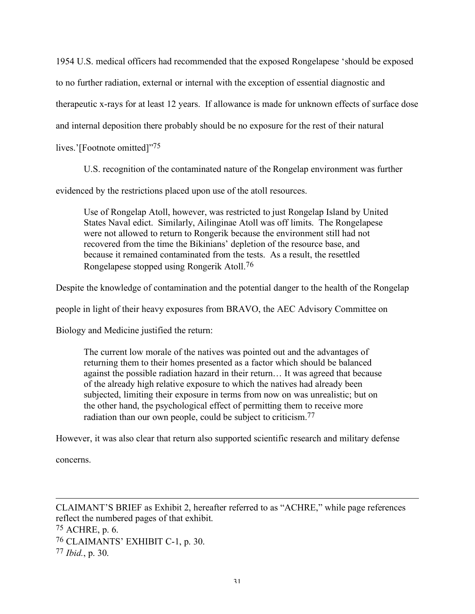1954 U.S. medical officers had recommended that the exposed Rongelapese 'should be exposed to no further radiation, external or internal with the exception of essential diagnostic and therapeutic x-rays for at least 12 years. If allowance is made for unknown effects of surface dose and internal deposition there probably should be no exposure for the rest of their natural

lives.'[Footnote omitted]"75

U.S. recognition of the contaminated nature of the Rongelap environment was further

evidenced by the restrictions placed upon use of the atoll resources.

Use of Rongelap Atoll, however, was restricted to just Rongelap Island by United States Naval edict. Similarly, Ailinginae Atoll was off limits. The Rongelapese were not allowed to return to Rongerik because the environment still had not recovered from the time the Bikinians' depletion of the resource base, and because it remained contaminated from the tests. As a result, the resettled Rongelapese stopped using Rongerik Atoll.76

Despite the knowledge of contamination and the potential danger to the health of the Rongelap

people in light of their heavy exposures from BRAVO, the AEC Advisory Committee on

Biology and Medicine justified the return:

The current low morale of the natives was pointed out and the advantages of returning them to their homes presented as a factor which should be balanced against the possible radiation hazard in their return… It was agreed that because of the already high relative exposure to which the natives had already been subjected, limiting their exposure in terms from now on was unrealistic; but on the other hand, the psychological effect of permitting them to receive more radiation than our own people, could be subject to criticism.<sup>77</sup>

However, it was also clear that return also supported scientific research and military defense

concerns.

 $\overline{a}$ CLAIMANT'S BRIEF as Exhibit 2, hereafter referred to as "ACHRE," while page references reflect the numbered pages of that exhibit. 75 ACHRE, p. 6. 76 CLAIMANTS' EXHIBIT C-1, p. 30. 77 *Ibid.*, p. 30.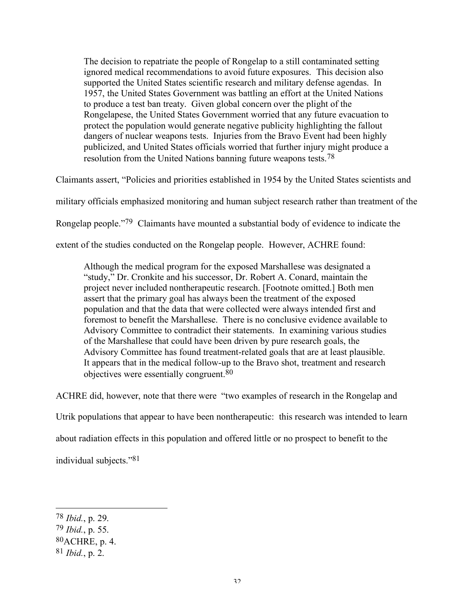The decision to repatriate the people of Rongelap to a still contaminated setting ignored medical recommendations to avoid future exposures. This decision also supported the United States scientific research and military defense agendas. In 1957, the United States Government was battling an effort at the United Nations to produce a test ban treaty. Given global concern over the plight of the Rongelapese, the United States Government worried that any future evacuation to protect the population would generate negative publicity highlighting the fallout dangers of nuclear weapons tests. Injuries from the Bravo Event had been highly publicized, and United States officials worried that further injury might produce a resolution from the United Nations banning future weapons tests.<sup>78</sup>

Claimants assert, "Policies and priorities established in 1954 by the United States scientists and

military officials emphasized monitoring and human subject research rather than treatment of the

Rongelap people."79 Claimants have mounted a substantial body of evidence to indicate the

extent of the studies conducted on the Rongelap people. However, ACHRE found:

Although the medical program for the exposed Marshallese was designated a "study," Dr. Cronkite and his successor, Dr. Robert A. Conard, maintain the project never included nontherapeutic research. [Footnote omitted.] Both men assert that the primary goal has always been the treatment of the exposed population and that the data that were collected were always intended first and foremost to benefit the Marshallese. There is no conclusive evidence available to Advisory Committee to contradict their statements. In examining various studies of the Marshallese that could have been driven by pure research goals, the Advisory Committee has found treatment-related goals that are at least plausible. It appears that in the medical follow-up to the Bravo shot, treatment and research objectives were essentially congruent.80

ACHRE did, however, note that there were "two examples of research in the Rongelap and

Utrik populations that appear to have been nontherapeutic: this research was intended to learn

about radiation effects in this population and offered little or no prospect to benefit to the

individual subjects."81

<sup>78</sup> *Ibid.*, p. 29.

<sup>79</sup> *Ibid.*, p. 55.

<sup>80</sup>ACHRE, p. 4.

<sup>81</sup> *Ibid.*, p. 2.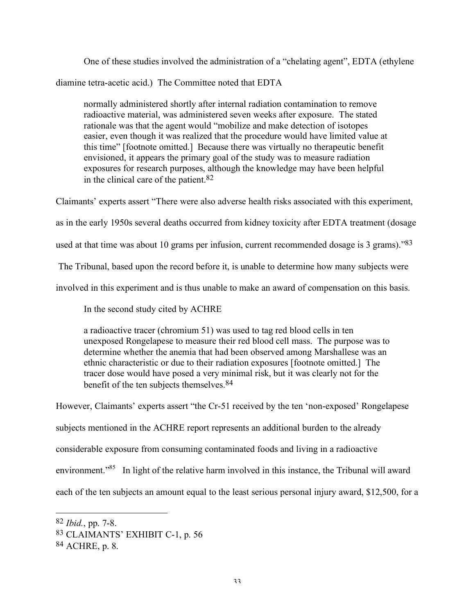One of these studies involved the administration of a "chelating agent", EDTA (ethylene diamine tetra-acetic acid.) The Committee noted that EDTA

normally administered shortly after internal radiation contamination to remove radioactive material, was administered seven weeks after exposure. The stated rationale was that the agent would "mobilize and make detection of isotopes easier, even though it was realized that the procedure would have limited value at this time" [footnote omitted.] Because there was virtually no therapeutic benefit envisioned, it appears the primary goal of the study was to measure radiation exposures for research purposes, although the knowledge may have been helpful in the clinical care of the patient. 82

Claimants' experts assert "There were also adverse health risks associated with this experiment,

as in the early 1950s several deaths occurred from kidney toxicity after EDTA treatment (dosage

used at that time was about 10 grams per infusion, current recommended dosage is 3 grams)."83

The Tribunal, based upon the record before it, is unable to determine how many subjects were

involved in this experiment and is thus unable to make an award of compensation on this basis.

In the second study cited by ACHRE

a radioactive tracer (chromium 51) was used to tag red blood cells in ten unexposed Rongelapese to measure their red blood cell mass. The purpose was to determine whether the anemia that had been observed among Marshallese was an ethnic characteristic or due to their radiation exposures [footnote omitted.] The tracer dose would have posed a very minimal risk, but it was clearly not for the benefit of the ten subjects themselves.84

However, Claimants' experts assert "the Cr-51 received by the ten 'non-exposed' Rongelapese subjects mentioned in the ACHRE report represents an additional burden to the already considerable exposure from consuming contaminated foods and living in a radioactive environment."<sup>85</sup> In light of the relative harm involved in this instance, the Tribunal will award each of the ten subjects an amount equal to the least serious personal injury award, \$12,500, for a

<sup>82</sup> *Ibid.*, pp. 7-8.

<sup>83</sup> CLAIMANTS' EXHIBIT C-1, p. 56

<sup>84</sup> ACHRE, p. 8.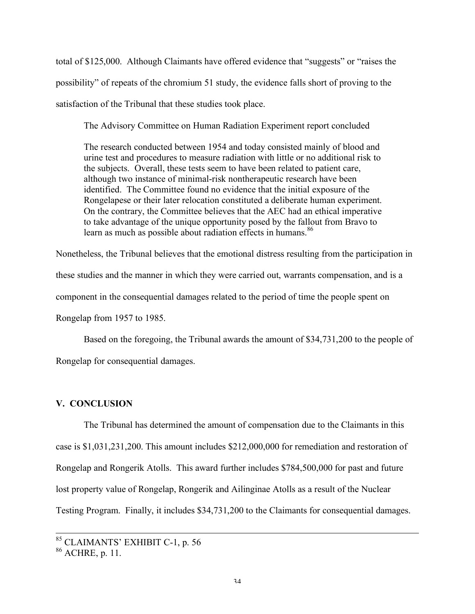total of \$125,000. Although Claimants have offered evidence that "suggests" or "raises the possibility" of repeats of the chromium 51 study, the evidence falls short of proving to the satisfaction of the Tribunal that these studies took place.

The Advisory Committee on Human Radiation Experiment report concluded

The research conducted between 1954 and today consisted mainly of blood and urine test and procedures to measure radiation with little or no additional risk to the subjects. Overall, these tests seem to have been related to patient care, although two instance of minimal-risk nontherapeutic research have been identified. The Committee found no evidence that the initial exposure of the Rongelapese or their later relocation constituted a deliberate human experiment. On the contrary, the Committee believes that the AEC had an ethical imperative to take advantage of the unique opportunity posed by the fallout from Bravo to learn as much as possible about radiation effects in humans. 86

Nonetheless, the Tribunal believes that the emotional distress resulting from the participation in these studies and the manner in which they were carried out, warrants compensation, and is a component in the consequential damages related to the period of time the people spent on Rongelap from 1957 to 1985.

Based on the foregoing, the Tribunal awards the amount of \$34,731,200 to the people of Rongelap for consequential damages.

## **V. CONCLUSION**

The Tribunal has determined the amount of compensation due to the Claimants in this case is \$1,031,231,200. This amount includes \$212,000,000 for remediation and restoration of Rongelap and Rongerik Atolls. This award further includes \$784,500,000 for past and future lost property value of Rongelap, Rongerik and Ailinginae Atolls as a result of the Nuclear Testing Program. Finally, it includes \$34,731,200 to the Claimants for consequential damages.

 <sup>85</sup> CLAIMANTS' EXHIBIT C-1, p. <sup>56</sup>

 $86$  ACHRE, p. 11.